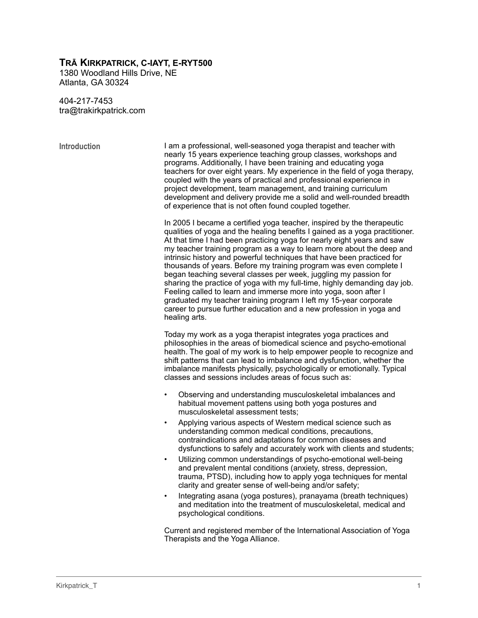# **TRĀ KIRKPATRICK, C-IAYT, E-RYT500**

1380 Woodland Hills Drive, NE Atlanta, GA 30324

404-217-7453 tra@trakirkpatrick.com

**Introduction** I am a professional, well-seasoned yoga therapist and teacher with nearly 15 years experience teaching group classes, workshops and programs. Additionally, I have been training and educating yoga teachers for over eight years. My experience in the field of yoga therapy, coupled with the years of practical and professional experience in project development, team management, and training curriculum development and delivery provide me a solid and well-rounded breadth of experience that is not often found coupled together.

> In 2005 I became a certified yoga teacher, inspired by the therapeutic qualities of yoga and the healing benefits I gained as a yoga practitioner. At that time I had been practicing yoga for nearly eight years and saw my teacher training program as a way to learn more about the deep and intrinsic history and powerful techniques that have been practiced for thousands of years. Before my training program was even complete I began teaching several classes per week, juggling my passion for sharing the practice of yoga with my full-time, highly demanding day job. Feeling called to learn and immerse more into yoga, soon after I graduated my teacher training program I left my 15-year corporate career to pursue further education and a new profession in yoga and healing arts.

> Today my work as a yoga therapist integrates yoga practices and philosophies in the areas of biomedical science and psycho-emotional health. The goal of my work is to help empower people to recognize and shift patterns that can lead to imbalance and dysfunction, whether the imbalance manifests physically, psychologically or emotionally. Typical classes and sessions includes areas of focus such as:

- Observing and understanding musculoskeletal imbalances and habitual movement pattens using both yoga postures and musculoskeletal assessment tests;
- Applying various aspects of Western medical science such as understanding common medical conditions, precautions, contraindications and adaptations for common diseases and dysfunctions to safely and accurately work with clients and students;
- Utilizing common understandings of psycho-emotional well-being and prevalent mental conditions (anxiety, stress, depression, trauma, PTSD), including how to apply yoga techniques for mental clarity and greater sense of well-being and/or safety;
- Integrating asana (yoga postures), pranayama (breath techniques) and meditation into the treatment of musculoskeletal, medical and psychological conditions.

Current and registered member of the International Association of Yoga Therapists and the Yoga Alliance.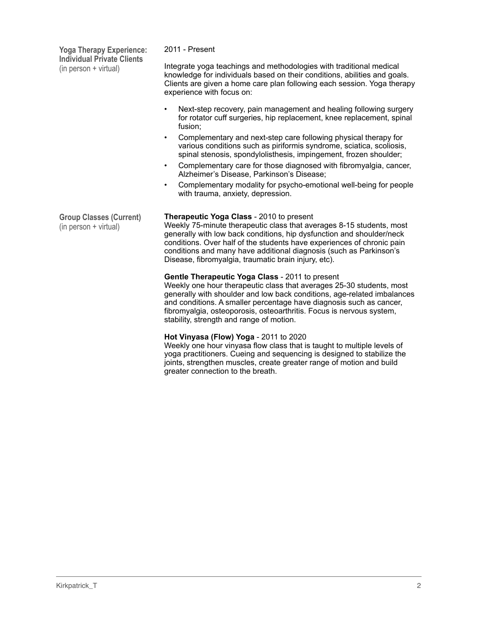**Yoga Therapy Experience: Individual Private Clients**  (in person + virtual)

## 2011 - Present

Integrate yoga teachings and methodologies with traditional medical knowledge for individuals based on their conditions, abilities and goals. Clients are given a home care plan following each session. Yoga therapy experience with focus on:

- Next-step recovery, pain management and healing following surgery for rotator cuff surgeries, hip replacement, knee replacement, spinal fusion;
- Complementary and next-step care following physical therapy for various conditions such as piriformis syndrome, sciatica, scoliosis, spinal stenosis, spondylolisthesis, impingement, frozen shoulder;
- Complementary care for those diagnosed with fibromyalgia, cancer, Alzheimer's Disease, Parkinson's Disease;
- Complementary modality for psycho-emotional well-being for people with trauma, anxiety, depression.

### **Therapeutic Yoga Class** - 2010 to present

Weekly 75-minute therapeutic class that averages 8-15 students, most generally with low back conditions, hip dysfunction and shoulder/neck conditions. Over half of the students have experiences of chronic pain conditions and many have additional diagnosis (such as Parkinson's Disease, fibromyalgia, traumatic brain injury, etc).

### **Gentle Therapeutic Yoga Class** - 2011 to present

Weekly one hour therapeutic class that averages 25-30 students, most generally with shoulder and low back conditions, age-related imbalances and conditions. A smaller percentage have diagnosis such as cancer, fibromyalgia, osteoporosis, osteoarthritis. Focus is nervous system, stability, strength and range of motion.

# **Hot Vinyasa (Flow) Yoga** - 2011 to 2020

Weekly one hour vinyasa flow class that is taught to multiple levels of yoga practitioners. Cueing and sequencing is designed to stabilize the joints, strengthen muscles, create greater range of motion and build greater connection to the breath.

**Group Classes (Current)**  (in person + virtual)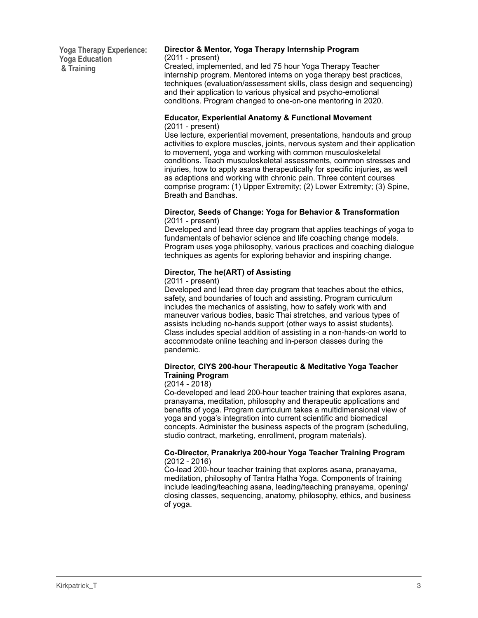**Yoga Therapy Experience: Yoga Education & Training**

#### **Director & Mentor, Yoga Therapy Internship Program**  (2011 - present)

Created, implemented, and led 75 hour Yoga Therapy Teacher internship program. Mentored interns on yoga therapy best practices, techniques (evaluation/assessment skills, class design and sequencing) and their application to various physical and psycho-emotional conditions. Program changed to one-on-one mentoring in 2020.

#### **Educator, Experiential Anatomy & Functional Movement**  (2011 - present)

Use lecture, experiential movement, presentations, handouts and group activities to explore muscles, joints, nervous system and their application to movement, yoga and working with common musculoskeletal conditions. Teach musculoskeletal assessments, common stresses and injuries, how to apply asana therapeutically for specific injuries, as well as adaptions and working with chronic pain. Three content courses comprise program: (1) Upper Extremity; (2) Lower Extremity; (3) Spine, Breath and Bandhas.

#### **Director, Seeds of Change: Yoga for Behavior & Transformation**  (2011 - present)

Developed and lead three day program that applies teachings of yoga to fundamentals of behavior science and life coaching change models. Program uses yoga philosophy, various practices and coaching dialogue techniques as agents for exploring behavior and inspiring change.

# **Director, The he(ART) of Assisting**

## (2011 - present)

Developed and lead three day program that teaches about the ethics, safety, and boundaries of touch and assisting. Program curriculum includes the mechanics of assisting, how to safely work with and maneuver various bodies, basic Thai stretches, and various types of assists including no-hands support (other ways to assist students). Class includes special addition of assisting in a non-hands-on world to accommodate online teaching and in-person classes during the pandemic.

## **Director, CIYS 200-hour Therapeutic & Meditative Yoga Teacher Training Program**

### (2014 - 2018)

Co-developed and lead 200-hour teacher training that explores asana, pranayama, meditation, philosophy and therapeutic applications and benefits of yoga. Program curriculum takes a multidimensional view of yoga and yoga's integration into current scientific and biomedical concepts. Administer the business aspects of the program (scheduling, studio contract, marketing, enrollment, program materials).

### **Co-Director, Pranakriya 200-hour Yoga Teacher Training Program**  (2012 - 2016)

Co-lead 200-hour teacher training that explores asana, pranayama, meditation, philosophy of Tantra Hatha Yoga. Components of training include leading/teaching asana, leading/teaching pranayama, opening/ closing classes, sequencing, anatomy, philosophy, ethics, and business of yoga.